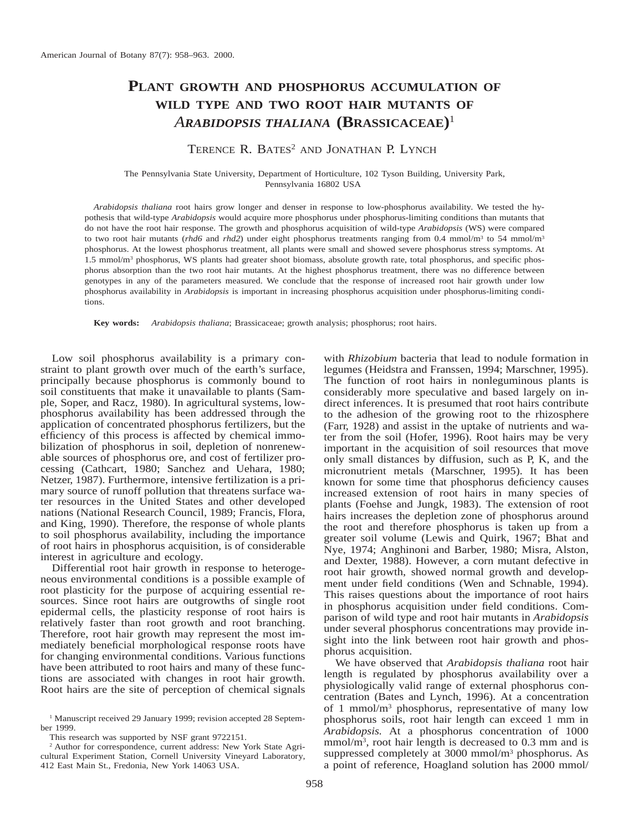# **PLANT GROWTH AND PHOSPHORUS ACCUMULATION OF WILD TYPE AND TWO ROOT HAIR MUTANTS OF** *ARABIDOPSIS THALIANA* **(BRASSICACEAE)**<sup>1</sup>

# TERENCE R. BATES<sup>2</sup> AND JONATHAN P. LYNCH

The Pennsylvania State University, Department of Horticulture, 102 Tyson Building, University Park, Pennsylvania 16802 USA

*Arabidopsis thaliana* root hairs grow longer and denser in response to low-phosphorus availability. We tested the hypothesis that wild-type *Arabidopsis* would acquire more phosphorus under phosphorus-limiting conditions than mutants that do not have the root hair response. The growth and phosphorus acquisition of wild-type *Arabidopsis* (WS) were compared to two root hair mutants (*rhd6* and *rhd2*) under eight phosphorus treatments ranging from 0.4 mmol/m<sup>3</sup> to 54 mmol/m<sup>3</sup> phosphorus. At the lowest phosphorus treatment, all plants were small and showed severe phosphorus stress symptoms. At 1.5 mmol/m<sup>3</sup> phosphorus, WS plants had greater shoot biomass, absolute growth rate, total phosphorus, and specific phosphorus absorption than the two root hair mutants. At the highest phosphorus treatment, there was no difference between genotypes in any of the parameters measured. We conclude that the response of increased root hair growth under low phosphorus availability in *Arabidopsis* is important in increasing phosphorus acquisition under phosphorus-limiting conditions.

**Key words:** *Arabidopsis thaliana*; Brassicaceae; growth analysis; phosphorus; root hairs.

Low soil phosphorus availability is a primary constraint to plant growth over much of the earth's surface, principally because phosphorus is commonly bound to soil constituents that make it unavailable to plants (Sample, Soper, and Racz, 1980). In agricultural systems, lowphosphorus availability has been addressed through the application of concentrated phosphorus fertilizers, but the efficiency of this process is affected by chemical immobilization of phosphorus in soil, depletion of nonrenewable sources of phosphorus ore, and cost of fertilizer processing (Cathcart, 1980; Sanchez and Uehara, 1980; Netzer, 1987). Furthermore, intensive fertilization is a primary source of runoff pollution that threatens surface water resources in the United States and other developed nations (National Research Council, 1989; Francis, Flora, and King, 1990). Therefore, the response of whole plants to soil phosphorus availability, including the importance of root hairs in phosphorus acquisition, is of considerable interest in agriculture and ecology.

Differential root hair growth in response to heterogeneous environmental conditions is a possible example of root plasticity for the purpose of acquiring essential resources. Since root hairs are outgrowths of single root epidermal cells, the plasticity response of root hairs is relatively faster than root growth and root branching. Therefore, root hair growth may represent the most immediately beneficial morphological response roots have for changing environmental conditions. Various functions have been attributed to root hairs and many of these functions are associated with changes in root hair growth. Root hairs are the site of perception of chemical signals

with *Rhizobium* bacteria that lead to nodule formation in legumes (Heidstra and Franssen, 1994; Marschner, 1995). The function of root hairs in nonleguminous plants is considerably more speculative and based largely on indirect inferences. It is presumed that root hairs contribute to the adhesion of the growing root to the rhizosphere (Farr, 1928) and assist in the uptake of nutrients and water from the soil (Hofer, 1996). Root hairs may be very important in the acquisition of soil resources that move only small distances by diffusion, such as P, K, and the micronutrient metals (Marschner, 1995). It has been known for some time that phosphorus deficiency causes increased extension of root hairs in many species of plants (Foehse and Jungk, 1983). The extension of root hairs increases the depletion zone of phosphorus around the root and therefore phosphorus is taken up from a greater soil volume (Lewis and Quirk, 1967; Bhat and Nye, 1974; Anghinoni and Barber, 1980; Misra, Alston, and Dexter, 1988). However, a corn mutant defective in root hair growth, showed normal growth and development under field conditions (Wen and Schnable, 1994). This raises questions about the importance of root hairs in phosphorus acquisition under field conditions. Comparison of wild type and root hair mutants in *Arabidopsis* under several phosphorus concentrations may provide insight into the link between root hair growth and phosphorus acquisition.

We have observed that *Arabidopsis thaliana* root hair length is regulated by phosphorus availability over a physiologically valid range of external phosphorus concentration (Bates and Lynch, 1996). At a concentration of 1 mmol/m3 phosphorus, representative of many low phosphorus soils, root hair length can exceed 1 mm in *Arabidopsis.* At a phosphorus concentration of 1000 mmol/m<sup>3</sup>, root hair length is decreased to 0.3 mm and is suppressed completely at 3000 mmol/m3 phosphorus. As a point of reference, Hoagland solution has 2000 mmol/

<sup>&</sup>lt;sup>1</sup> Manuscript received 29 January 1999; revision accepted 28 September 1999.

This research was supported by NSF grant 9722151.

<sup>2</sup> Author for correspondence, current address: New York State Agricultural Experiment Station, Cornell University Vineyard Laboratory, 412 East Main St., Fredonia, New York 14063 USA.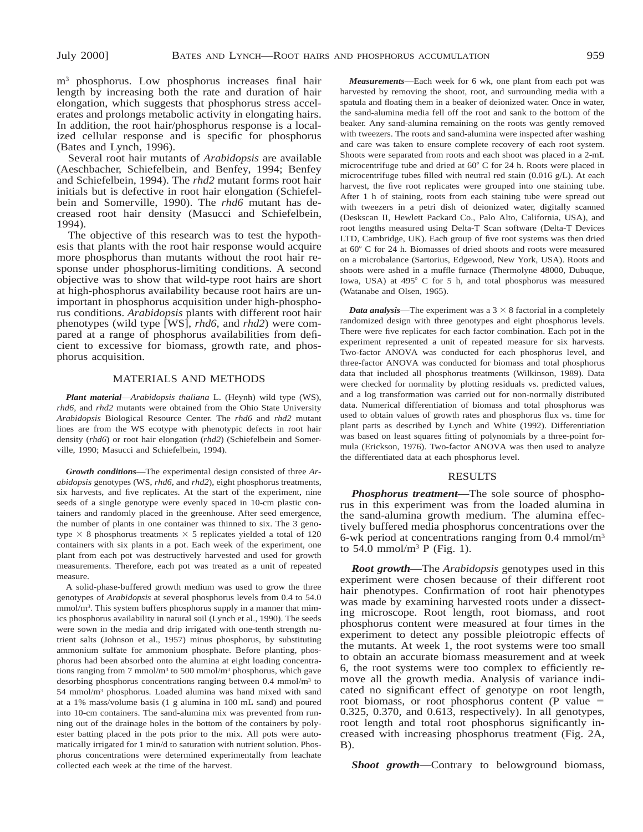m3 phosphorus. Low phosphorus increases final hair length by increasing both the rate and duration of hair elongation, which suggests that phosphorus stress accelerates and prolongs metabolic activity in elongating hairs. In addition, the root hair/phosphorus response is a localized cellular response and is specific for phosphorus (Bates and Lynch, 1996).

Several root hair mutants of *Arabidopsis* are available (Aeschbacher, Schiefelbein, and Benfey, 1994; Benfey and Schiefelbein, 1994). The *rhd2* mutant forms root hair initials but is defective in root hair elongation (Schiefelbein and Somerville, 1990). The *rhd6* mutant has decreased root hair density (Masucci and Schiefelbein, 1994).

The objective of this research was to test the hypothesis that plants with the root hair response would acquire more phosphorus than mutants without the root hair response under phosphorus-limiting conditions. A second objective was to show that wild-type root hairs are short at high-phosphorus availability because root hairs are unimportant in phosphorus acquisition under high-phosphorus conditions. *Arabidopsis* plants with different root hair phenotypes (wild type [WS], *rhd6,* and *rhd2*) were compared at a range of phosphorus availabilities from deficient to excessive for biomass, growth rate, and phosphorus acquisition.

# MATERIALS AND METHODS

*Plant material*—*Arabidopsis thaliana* L. (Heynh) wild type (WS), *rhd6,* and *rhd2* mutants were obtained from the Ohio State University *Arabidopsis* Biological Resource Center. The *rhd6* and *rhd2* mutant lines are from the WS ecotype with phenotypic defects in root hair density (*rhd6*) or root hair elongation (*rhd2*) (Schiefelbein and Somerville, 1990; Masucci and Schiefelbein, 1994).

*Growth conditions*—The experimental design consisted of three *Arabidopsis* genotypes (WS, *rhd6,* and *rhd2*), eight phosphorus treatments, six harvests, and five replicates. At the start of the experiment, nine seeds of a single genotype were evenly spaced in 10-cm plastic containers and randomly placed in the greenhouse. After seed emergence, the number of plants in one container was thinned to six. The 3 genotype  $\times$  8 phosphorus treatments  $\times$  5 replicates yielded a total of 120 containers with six plants in a pot. Each week of the experiment, one plant from each pot was destructively harvested and used for growth measurements. Therefore, each pot was treated as a unit of repeated measure.

A solid-phase-buffered growth medium was used to grow the three genotypes of *Arabidopsis* at several phosphorus levels from 0.4 to 54.0 mmol/m<sup>3</sup>. This system buffers phosphorus supply in a manner that mimics phosphorus availability in natural soil (Lynch et al., 1990). The seeds were sown in the media and drip irrigated with one-tenth strength nutrient salts (Johnson et al., 1957) minus phosphorus, by substituting ammonium sulfate for ammonium phosphate. Before planting, phosphorus had been absorbed onto the alumina at eight loading concentrations ranging from 7 mmol/m3 to 500 mmol/m3 phosphorus, which gave desorbing phosphorus concentrations ranging between 0.4 mmol/m3 to 54 mmol/m3 phosphorus. Loaded alumina was hand mixed with sand at a 1% mass/volume basis (1 g alumina in 100 mL sand) and poured into 10-cm containers. The sand-alumina mix was prevented from running out of the drainage holes in the bottom of the containers by polyester batting placed in the pots prior to the mix. All pots were automatically irrigated for 1 min/d to saturation with nutrient solution. Phosphorus concentrations were determined experimentally from leachate collected each week at the time of the harvest.

*Measurements*—Each week for 6 wk, one plant from each pot was harvested by removing the shoot, root, and surrounding media with a spatula and floating them in a beaker of deionized water. Once in water, the sand-alumina media fell off the root and sank to the bottom of the beaker. Any sand-alumina remaining on the roots was gently removed with tweezers. The roots and sand-alumina were inspected after washing and care was taken to ensure complete recovery of each root system. Shoots were separated from roots and each shoot was placed in a 2-mL microcentrifuge tube and dried at  $60^{\circ}$  C for 24 h. Roots were placed in microcentrifuge tubes filled with neutral red stain (0.016 g/L). At each harvest, the five root replicates were grouped into one staining tube. After 1 h of staining, roots from each staining tube were spread out with tweezers in a petri dish of deionized water, digitally scanned (Deskscan II, Hewlett Packard Co., Palo Alto, California, USA), and root lengths measured using Delta-T Scan software (Delta-T Devices LTD, Cambridge, UK). Each group of five root systems was then dried at 60° C for 24 h. Biomasses of dried shoots and roots were measured on a microbalance (Sartorius, Edgewood, New York, USA). Roots and shoots were ashed in a muffle furnace (Thermolyne 48000, Dubuque, Iowa, USA) at 495° C for 5 h, and total phosphorus was measured (Watanabe and Olsen, 1965).

*Data analysis*—The experiment was a  $3 \times 8$  factorial in a completely randomized design with three genotypes and eight phosphorus levels. There were five replicates for each factor combination. Each pot in the experiment represented a unit of repeated measure for six harvests. Two-factor ANOVA was conducted for each phosphorus level, and three-factor ANOVA was conducted for biomass and total phosphorus data that included all phosphorus treatments (Wilkinson, 1989). Data were checked for normality by plotting residuals vs. predicted values, and a log transformation was carried out for non-normally distributed data. Numerical differentiation of biomass and total phosphorus was used to obtain values of growth rates and phosphorus flux vs. time for plant parts as described by Lynch and White (1992). Differentiation was based on least squares fitting of polynomials by a three-point formula (Erickson, 1976). Two-factor ANOVA was then used to analyze the differentiated data at each phosphorus level.

#### RESULTS

*Phosphorus treatment*—The sole source of phosphorus in this experiment was from the loaded alumina in the sand-alumina growth medium. The alumina effectively buffered media phosphorus concentrations over the 6-wk period at concentrations ranging from 0.4 mmol/m3 to  $54.0$  mmol/m<sup>3</sup> P (Fig. 1).

*Root growth*—The *Arabidopsis* genotypes used in this experiment were chosen because of their different root hair phenotypes. Confirmation of root hair phenotypes was made by examining harvested roots under a dissecting microscope. Root length, root biomass, and root phosphorus content were measured at four times in the experiment to detect any possible pleiotropic effects of the mutants. At week 1, the root systems were too small to obtain an accurate biomass measurement and at week 6, the root systems were too complex to efficiently remove all the growth media. Analysis of variance indicated no significant effect of genotype on root length, root biomass, or root phosphorus content (P value  $=$ 0.325, 0.370, and 0.613, respectively). In all genotypes, root length and total root phosphorus significantly increased with increasing phosphorus treatment (Fig. 2A, B).

*Shoot growth*—Contrary to belowground biomass,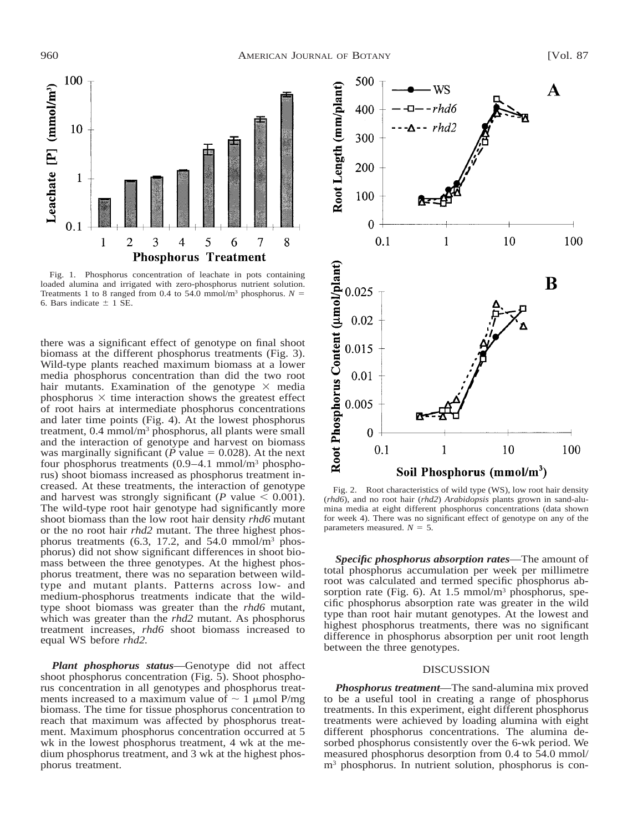

Fig. 1. Phosphorus concentration of leachate in pots containing loaded alumina and irrigated with zero-phosphorus nutrient solution. Treatments 1 to 8 ranged from 0.4 to 54.0 mmol/m<sup>3</sup> phosphorus.  $N =$ 6. Bars indicate  $\pm$  1 SE.

there was a significant effect of genotype on final shoot biomass at the different phosphorus treatments (Fig. 3). Wild-type plants reached maximum biomass at a lower media phosphorus concentration than did the two root hair mutants. Examination of the genotype  $\times$  media phosphorus  $\times$  time interaction shows the greatest effect of root hairs at intermediate phosphorus concentrations and later time points (Fig. 4). At the lowest phosphorus treatment, 0.4 mmol/m3 phosphorus, all plants were small and the interaction of genotype and harvest on biomass was marginally significant ( $\dot{P}$  value = 0.028). At the next four phosphorus treatments (0.9–4.1 mmol/m3 phosphorus) shoot biomass increased as phosphorus treatment increased. At these treatments, the interaction of genotype and harvest was strongly significant (*P* value  $\leq 0.001$ ). The wild-type root hair genotype had significantly more shoot biomass than the low root hair density *rhd6* mutant or the no root hair *rhd2* mutant. The three highest phosphorus treatments (6.3, 17.2, and 54.0 mmol/m<sup>3</sup> phosphorus) did not show significant differences in shoot biomass between the three genotypes. At the highest phosphorus treatment, there was no separation between wildtype and mutant plants. Patterns across low- and medium-phosphorus treatments indicate that the wildtype shoot biomass was greater than the *rhd6* mutant, which was greater than the *rhd2* mutant. As phosphorus treatment increases, *rhd6* shoot biomass increased to equal WS before *rhd2.*

*Plant phosphorus status*—Genotype did not affect shoot phosphorus concentration (Fig. 5). Shoot phosphorus concentration in all genotypes and phosphorus treatments increased to a maximum value of  $\sim 1$  µmol P/mg biomass. The time for tissue phosphorus concentration to reach that maximum was affected by phosphorus treatment. Maximum phosphorus concentration occurred at 5 wk in the lowest phosphorus treatment, 4 wk at the medium phosphorus treatment, and 3 wk at the highest phosphorus treatment.



Fig. 2. Root characteristics of wild type (WS), low root hair density (*rhd6*), and no root hair (*rhd2*) *Arabidopsis* plants grown in sand-alumina media at eight different phosphorus concentrations (data shown for week 4). There was no significant effect of genotype on any of the parameters measured.  $N = 5$ .

*Specific phosphorus absorption rates*—The amount of total phosphorus accumulation per week per millimetre root was calculated and termed specific phosphorus absorption rate (Fig. 6). At  $1.5 \text{ mmol/m}^3$  phosphorus, specific phosphorus absorption rate was greater in the wild type than root hair mutant genotypes. At the lowest and highest phosphorus treatments, there was no significant difference in phosphorus absorption per unit root length between the three genotypes.

### DISCUSSION

*Phosphorus treatment*—The sand-alumina mix proved to be a useful tool in creating a range of phosphorus treatments. In this experiment, eight different phosphorus treatments were achieved by loading alumina with eight different phosphorus concentrations. The alumina desorbed phosphorus consistently over the 6-wk period. We measured phosphorus desorption from 0.4 to 54.0 mmol/ m<sup>3</sup> phosphorus. In nutrient solution, phosphorus is con-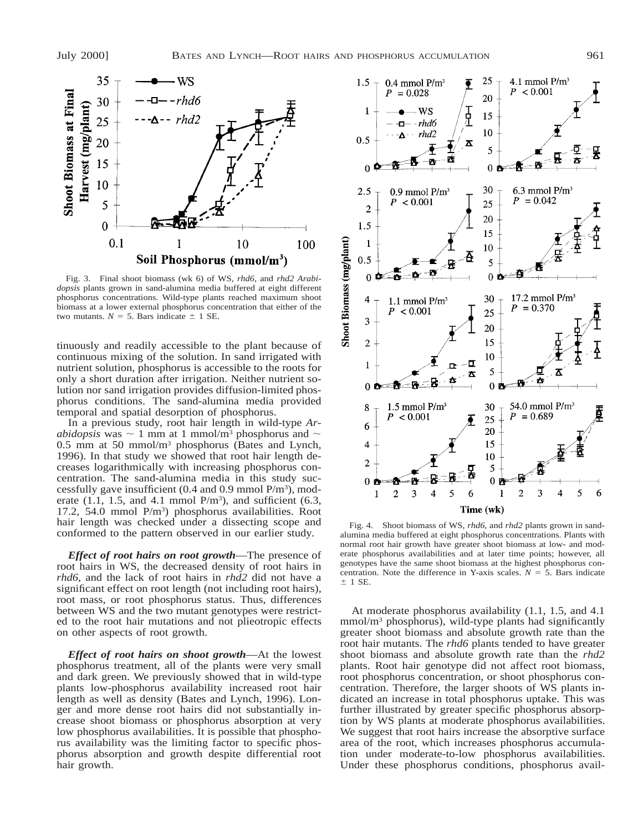

Fig. 3. Final shoot biomass (wk 6) of WS, *rhd6,* and *rhd2 Arabidopsis* plants grown in sand-alumina media buffered at eight different phosphorus concentrations. Wild-type plants reached maximum shoot biomass at a lower external phosphorus concentration that either of the two mutants.  $N = 5$ . Bars indicate  $\pm$  1 SE.

tinuously and readily accessible to the plant because of continuous mixing of the solution. In sand irrigated with nutrient solution, phosphorus is accessible to the roots for only a short duration after irrigation. Neither nutrient solution nor sand irrigation provides diffusion-limited phosphorus conditions. The sand-alumina media provided temporal and spatial desorption of phosphorus.

In a previous study, root hair length in wild-type *Arabidopsis* was  $\sim$  1 mm at 1 mmol/m<sup>3</sup> phosphorus and  $\sim$ 0.5 mm at 50 mmol/m3 phosphorus (Bates and Lynch, 1996). In that study we showed that root hair length decreases logarithmically with increasing phosphorus concentration. The sand-alumina media in this study successfully gave insufficient  $(0.4 \text{ and } 0.9 \text{ mmol P/m}^3)$ , moderate  $(1.1, 1.5,$  and  $4.1$  mmol  $P/m<sup>3</sup>$ ), and sufficient  $(6.3,$ 17.2, 54.0 mmol P/m3) phosphorus availabilities. Root hair length was checked under a dissecting scope and conformed to the pattern observed in our earlier study.

*Effect of root hairs on root growth*—The presence of root hairs in WS, the decreased density of root hairs in *rhd6*, and the lack of root hairs in *rhd2* did not have a significant effect on root length (not including root hairs), root mass, or root phosphorus status. Thus, differences between WS and the two mutant genotypes were restricted to the root hair mutations and not plieotropic effects on other aspects of root growth.

*Effect of root hairs on shoot growth*—At the lowest phosphorus treatment, all of the plants were very small and dark green. We previously showed that in wild-type plants low-phosphorus availability increased root hair length as well as density (Bates and Lynch, 1996). Longer and more dense root hairs did not substantially increase shoot biomass or phosphorus absorption at very low phosphorus availabilities. It is possible that phosphorus availability was the limiting factor to specific phosphorus absorption and growth despite differential root hair growth.



Fig. 4. Shoot biomass of WS, *rhd6,* and *rhd2* plants grown in sandalumina media buffered at eight phosphorus concentrations. Plants with normal root hair growth have greater shoot biomass at low- and moderate phosphorus availabilities and at later time points; however, all genotypes have the same shoot biomass at the highest phosphorus concentration. Note the difference in Y-axis scales.  $N = 5$ . Bars indicate  $± 1$  SE.

At moderate phosphorus availability (1.1, 1.5, and 4.1  $mmol/m<sup>3</sup>$  phosphorus), wild-type plants had significantly greater shoot biomass and absolute growth rate than the root hair mutants. The *rhd6* plants tended to have greater shoot biomass and absolute growth rate than the *rhd2* plants. Root hair genotype did not affect root biomass, root phosphorus concentration, or shoot phosphorus concentration. Therefore, the larger shoots of WS plants indicated an increase in total phosphorus uptake. This was further illustrated by greater specific phosphorus absorption by WS plants at moderate phosphorus availabilities. We suggest that root hairs increase the absorptive surface area of the root, which increases phosphorus accumulation under moderate-to-low phosphorus availabilities. Under these phosphorus conditions, phosphorus avail-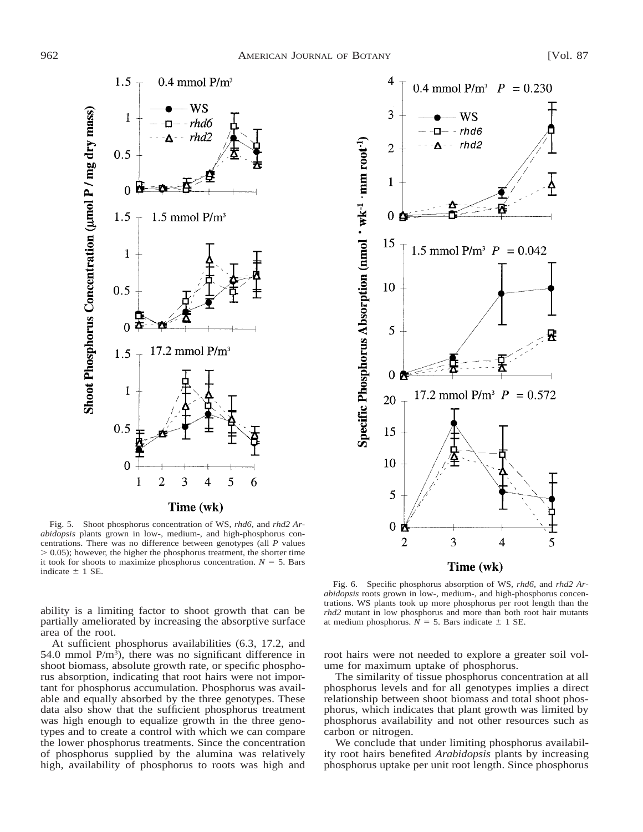



Fig. 5. Shoot phosphorus concentration of WS, *rhd6,* and *rhd2 Arabidopsis* plants grown in low-, medium-, and high-phosphorus concentrations. There was no difference between genotypes (all *P* values  $> 0.05$ ); however, the higher the phosphorus treatment, the shorter time it took for shoots to maximize phosphorus concentration.  $N = 5$ . Bars indicate  $\pm$  1 SE.

ability is a limiting factor to shoot growth that can be partially ameliorated by increasing the absorptive surface area of the root.

At sufficient phosphorus availabilities (6.3, 17.2, and 54.0 mmol  $P/m^3$ ), there was no significant difference in shoot biomass, absolute growth rate, or specific phosphorus absorption, indicating that root hairs were not important for phosphorus accumulation. Phosphorus was available and equally absorbed by the three genotypes. These data also show that the sufficient phosphorus treatment was high enough to equalize growth in the three genotypes and to create a control with which we can compare the lower phosphorus treatments. Since the concentration of phosphorus supplied by the alumina was relatively high, availability of phosphorus to roots was high and

Fig. 6. Specific phosphorus absorption of WS, *rhd6,* and *rhd2 Arabidopsis* roots grown in low-, medium-, and high-phosphorus concentrations. WS plants took up more phosphorus per root length than the *rhd2* mutant in low phosphorus and more than both root hair mutants at medium phosphorus.  $\overline{N} = 5$ . Bars indicate  $\pm$  1 SE.

root hairs were not needed to explore a greater soil volume for maximum uptake of phosphorus.

The similarity of tissue phosphorus concentration at all phosphorus levels and for all genotypes implies a direct relationship between shoot biomass and total shoot phosphorus, which indicates that plant growth was limited by phosphorus availability and not other resources such as carbon or nitrogen.

We conclude that under limiting phosphorus availability root hairs benefited *Arabidopsis* plants by increasing phosphorus uptake per unit root length. Since phosphorus